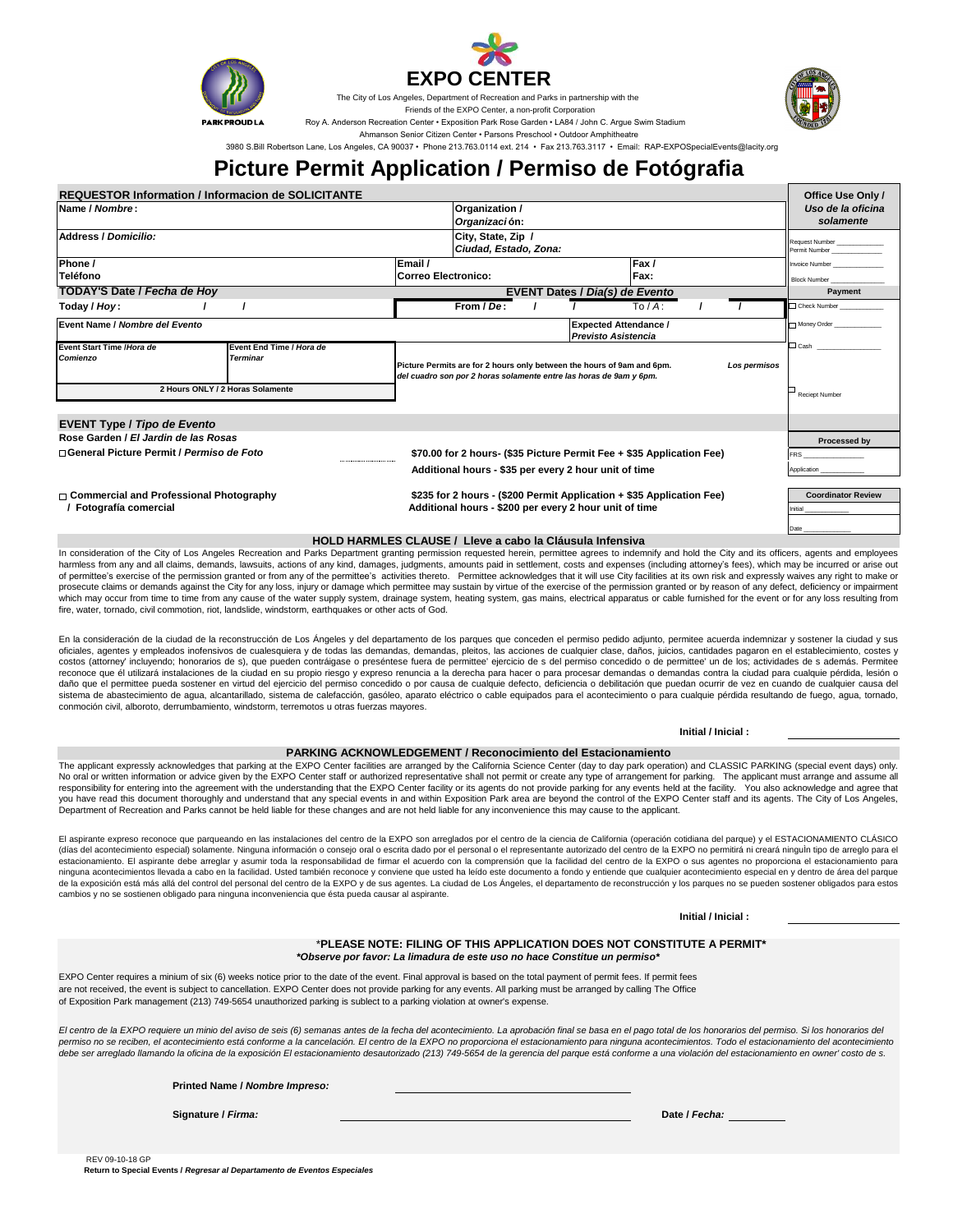



The City of Los Angeles, Department of Recreation and Parks in partnership with the

Friends of the EXPO Center, a non-profit Corporation

Roy A. Anderson Recreation Center • Exposition Park Rose Garden • LA84 / John C. Argue Swim Stadium

Ahmanson Senior Citizen Center • Parsons Preschool • Outdoor Amphitheatre

3980 S.Bill Robertson Lane, Los Angeles, CA 90037 • Phone 213.763.0114 ext. 214 • Fax 213.763.3117 • Email: RAP-EXPOSpecialEvents@lacity.org

## **Picture Permit Application / Permiso de Fotógrafia**

| <b>REQUESTOR Information / Informacion de SOLICITANTE</b> |                          |  |                                                                                        |                                                                    |  |  |                                |  | Office Use Only /         |                                 |
|-----------------------------------------------------------|--------------------------|--|----------------------------------------------------------------------------------------|--------------------------------------------------------------------|--|--|--------------------------------|--|---------------------------|---------------------------------|
| Name / Nombre:                                            |                          |  | Organization /                                                                         |                                                                    |  |  |                                |  | Uso de la oficina         |                                 |
|                                                           |                          |  |                                                                                        | Organización:                                                      |  |  |                                |  |                           | solamente                       |
| <b>Address / Domicilio:</b>                               |                          |  | City, State, Zip /                                                                     |                                                                    |  |  |                                |  |                           |                                 |
|                                                           |                          |  |                                                                                        | Ciudad, Estado, Zona:                                              |  |  |                                |  |                           | Request Number<br>Permit Number |
| Phone /                                                   |                          |  | Email /<br>Fax/                                                                        |                                                                    |  |  |                                |  |                           | <b>Invoice Number</b>           |
| Teléfono                                                  |                          |  | <b>Correo Electronico:</b><br>Fax:                                                     |                                                                    |  |  |                                |  | <b>Block Number</b>       |                                 |
| TODAY'S Date / Fecha de Hoy                               |                          |  | EVENT Dates / Dia(s) de Evento                                                         |                                                                    |  |  |                                |  |                           | Payment                         |
| Today / Hoy:                                              |                          |  |                                                                                        | From / De:                                                         |  |  | $\overline{To}/\overline{A}$ : |  |                           | Check Number                    |
| Event Name / Nombre del Evento                            |                          |  | <b>Expected Attendance /</b><br><b>Previsto Asistencia</b>                             |                                                                    |  |  |                                |  |                           | Money Order                     |
|                                                           |                          |  |                                                                                        |                                                                    |  |  |                                |  |                           |                                 |
| Event Start Time /Hora de                                 | Event End Time / Hora de |  |                                                                                        |                                                                    |  |  |                                |  |                           | $\square$ Cash                  |
| Comienzo                                                  | <b>Terminar</b>          |  | Picture Permits are for 2 hours only between the hours of 9am and 6pm.<br>Los permisos |                                                                    |  |  |                                |  |                           |                                 |
|                                                           |                          |  |                                                                                        | del cuadro son por 2 horas solamente entre las horas de 9am y 6pm. |  |  |                                |  |                           |                                 |
| 2 Hours ONLY / 2 Horas Solamente                          |                          |  |                                                                                        |                                                                    |  |  |                                |  |                           | $\vdash$ Reciept Number         |
|                                                           |                          |  |                                                                                        |                                                                    |  |  |                                |  |                           |                                 |
|                                                           |                          |  |                                                                                        |                                                                    |  |  |                                |  |                           |                                 |
| <b>EVENT Type / Tipo de Evento</b>                        |                          |  |                                                                                        |                                                                    |  |  |                                |  |                           |                                 |
| Rose Garden / El Jardin de las Rosas                      |                          |  |                                                                                        |                                                                    |  |  |                                |  | Processed by              |                                 |
| □ General Picture Permit / Permiso de Foto                |                          |  | \$70.00 for 2 hours- (\$35 Picture Permit Fee + \$35 Application Fee)                  |                                                                    |  |  |                                |  |                           | <b>FRS</b>                      |
|                                                           |                          |  |                                                                                        | Additional hours - \$35 per every 2 hour unit of time              |  |  |                                |  |                           | Application                     |
|                                                           |                          |  |                                                                                        |                                                                    |  |  |                                |  |                           |                                 |
| $\Box$ Commercial and Professional Photography            |                          |  | \$235 for 2 hours - (\$200 Permit Application + \$35 Application Fee)                  |                                                                    |  |  |                                |  | <b>Coordinator Review</b> |                                 |
| / Fotografía comercial                                    |                          |  | Additional hours - \$200 per every 2 hour unit of time                                 |                                                                    |  |  |                                |  | Initial                   |                                 |
|                                                           |                          |  |                                                                                        |                                                                    |  |  |                                |  |                           |                                 |
|                                                           |                          |  |                                                                                        |                                                                    |  |  |                                |  |                           | Date                            |

#### **HOLD HARMLES CLAUSE / Lleve a cabo la Cláusula Infensiva**

In consideration of the City of Los Angeles Recreation and Parks Department granting permission requested herein, permittee agrees to indemnify and hold the City and its officers, agents and employees harmless from any and all claims, demands, lawsuits, actions of any kind, damages, judgments, amounts paid in settlement, costs and expenses (including attorney's fees), which may be incurred or arise out<br>of permittee's ex prosecute claims or demands against the City for any loss, injury or damage which permittee may sustain by virtue of the exercise of the permission granted or by reason of any defect, deficiency or impairment which may occur from time to time from any cause of the water supply system, drainage system, heating system, gas mains, electrical apparatus or cable furnished for the event or for any loss resulting from fire, water, tornado, civil commotion, riot, landslide, windstorm, earthquakes or other acts of God.

En la consideración de la ciudad de la reconstrucción de Los Ángeles y del departamento de los parques que conceden el permiso pedido adjunto, permitee acuerda indemnizar y sostener la ciudad y sus<br>oficiales, agentes y emp costos (attorney' incluyendo; honorarios de s), que pueden contráigase o preséntese fuera de permittee' ejercicio de s del permiso concedido o de permittee' un de los; actividades de s además. Permitee reconoce que él utilizará instalaciones de la ciudad en su propio riesgo y expreso renuncia a la derecha para hacer o para procesar demandas o demandas contra la ciudad para cualquie pérdida, lesión o daño que el permittee pueda sostener en virtud del ejercicio del permiso concedido o por causa de cualquie defecto, deficiencia o debilitación que puedan ocurrir de vez en cuando de cualquier causa del sistema de abastecimiento de agua, alcantarillado, sistema de calefacción, gasóleo, aparato eléctrico o cable equipados para el acontecimiento o para cualquie pérdida resultando de fuego, agua, tornado, conmoción civil, alboroto, derrumbamiento, windstorm, terremotos u otras fuerzas mayores.

The applicant expressly acknowledges that parking at the EXPO Center facilities are arranged by the California Science Center (day to day park operation) and CLASSIC PARKING (special event days) only. **PARKING ACKNOWLEDGEMENT / Reconocimiento del Estacionamiento**

No oral or written information or advice given by the EXPO Center staff or authorized representative shall not permit or create any type of arrangement for parking. The applicant must arrange and assume all responsibility responsibility for entering into the agreement with the understanding that the EXPO Center facility or its agents do not provide parking for any events held at the facility. you have read this document thoroughly and understand that any special events in and within Exposition Park area are beyond the control of the EXPO Center staff and its agents. The City of Los Angeles,<br>Department of Recrea

El aspirante expreso reconoce que parqueando en las instalaciones del centro de la EXPO son arreglados por el centro de la ciencia de California (operación cotidiana del parque) y el ESTACIONAMIENTO CLÁSICO (días del acontecimiento especial) solamente. Ninguna información o consejo oral o escrita dado por el personal o el representante autorizado del centro de la EXPO no permitirá ni creará ninguÌn tipo de arreglo para el estacionamiento. El aspirante debe arreglar y asumir toda la responsabilidad de firmar el acuerdo con la comprensión que la facilidad del centro de la EXPO o sus agentes no proporciona el estacionamiento para ninguna acontecimientos llevada a cabo en la facilidad. Usted también reconoce y conviene que usted ha leído este documento a fondo y entiende que cualquier acontecimiento especial en y dentro de área del parque de la exposición está más allá del control del personal del centro de la EXPO y de sus agentes. La ciudad de Los Ángeles, el departamento de reconstrucción y los parques no se pueden sostener obligados para estos cambios y no se sostienen obligado para ninguna inconveniencia que ésta pueda causar al aspirante.

**Initial / Inicial :**

**Initial / Inicial :**

### \***PLEASE NOTE: FILING OF THIS APPLICATION DOES NOT CONSTITUTE A PERMIT\***

*\*Observe por favor: La limadura de este uso no hace Constitue un permiso\**

are not received, the event is subject to cancellation. EXPO Center does not provide parking for any events. All parking must be arranged by calling The Office of Exposition Park management (213) 749-5654 unauthorized parking is sublect to a parking violation at owner's expense. EXPO Center requires a minium of six (6) weeks notice prior to the date of the event. Final approval is based on the total payment of permit fees. If permit fees

El centro de la EXPO requiere un minio del aviso de seis (6) semanas antes de la fecha del acontecimiento. La aprobación final se basa en el pago total de los honorarios del permiso. Si los honorarios del permiso no se reciben, el acontecimiento está conforme a la cancelación. El centro de la EXPO no proporciona el estacionamiento para ninguna acontecimientos. Todo el estacionamiento del acontecimiento<br>debe ser arreglado ll

**Printed Name /** *Nombre Impreso:*

**Signature /** *Firma:* **Date /** *Fecha:*

 REV 09-10-18 GP **Return to Special Events /** *Regresar al Departamento de Eventos Especiales*